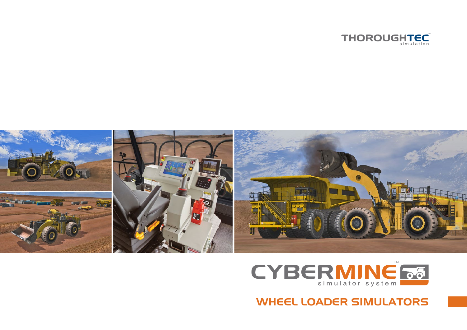





# WHEEL LOADER SIMULATORS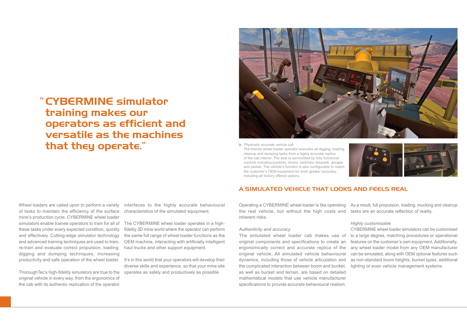# CYBERMINE simulator "training makes our operators as efficient and versatile as the machines that they operate."



*Physically accurate vehicle cab* **>** The trainee wheel loader operator executes all digging, loading, cleanup and dumping tasks from a highly accurate replica of the cab interior. The seat is surrounded by fully functional controls including joysticks, levers, switches, keypads, gauges and pedals. The vehicle's function is also configurable to match the customer's OEM equipment for even greater accuracy, including all factory offered options.



Wheel loaders are called upon to perform a variety of tasks to maintain the efficiency of the surface mine's production cycle. CYBERMINE wheel loader simulators enable trainee operators to train for all of these tasks under every expected condition, quickly and effectively. Cutting-edge simulator technology and advanced training techniques are used to train, re-train and evaluate correct propulsion, loading, digging and dumping techniques, increasing productivity and safe operation of the wheel loader.

ThoroughTec's high-fidelity simulators are true to the operates as safely and productively as possible. original vehicle in every way, from the ergonomics of the cab with its authentic replication of the operator

interfaces to the highly accurate behavioural characteristics of the simulated equipment.

The CYBERMINE wheel loader operates in a highfidelity 3D mine world where the operator can perform the same full range of wheel loader functions as the OEM machine, interacting with artificially intelligent haul trucks and other support equipment.

It's in this world that your operators will develop their diverse skills and experience, so that your mine site

## A SIMULATED VEHICLE THAT LOOKS AND FEELS REAL

the real vehicle, but without the high costs and inherent risks.

### *Authenticity and accuracy*

The simulated wheel loader cab makes use of original components and specifications to create an ergonomically correct and accurate replica of the original vehicle. All simulated vehicle behavioural dynamics, including those of vehicle articulation and the complicated interaction between boom and bucket, lighting or even vehicle management systems. as well as bucket and terrain, are based on detailed mathematical models that use vehicle manufacturer specifications to provide accurate behavioural realism.

Operating a CYBERMINE wheel loader is like operating As a result, full propulsion, loading, mucking and cleanup tasks are an accurate reflection of reality.

### *Highly customisable*

CYBERMINE wheel loader simulators can be customised to a large degree, matching procedures or operational features on the customer's own equipment. Additionally, any wheel loader model from any OEM manufacturer can be simulated, along with OEM optional features such as non-standard boom heights, bucket types, additional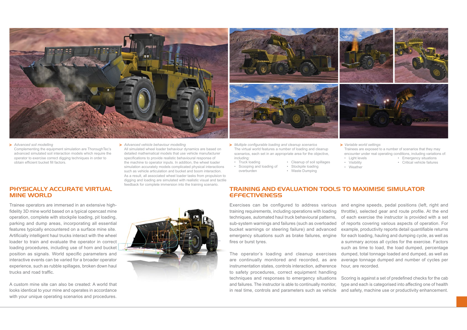

#### *Advanced soil modelling* Complementing the equipment simulation are ThoroughTec's advanced simulated soil interaction models which require the operator to exercise correct digging techniques in order to obtain efficient bucket fill factors. *Multiple configurable loading and cleanup scenarios* **> > > >** *Variable world settings*

## PHYSICALLY ACCURATE VIRTUAL MINE WORLD

Trainee operators are immersed in an extensive highfidelity 3D mine world based on a typical opencast mine operation, complete with stockpile loading, pit loading, parking and dump areas, incorporating all essential features typically encountered on a surface mine site. Artificially intelligent haul trucks interact with the wheel loader to train and evaluate the operator in correct loading procedures, including use of horn and bucket position as signals. World specific parameters and interactive events can be varied for a broader operator experience, such as rubble spillages, broken down haul trucks and road traffic.

A custom mine site can also be created: A world that looks identical to your mine and operates in accordance with your unique operating scenarios and procedures.



All simulated wheel loader behaviour dynamics are based on detailed mathematical models that use vehicle manufacturer specifications to provide realistic behavioural response of the machine to operator inputs. In addition, the wheel loader simulation accurately models complicated physical interactions such as vehicle articulation and bucket and boom interaction. As a result, all associated wheel loader tasks from propulsion to digging and loading are simulated with realistic visual and tactile feedback for complete immersion into the training scenario.



The virtual world features a number of loading and cleanup scenarios, each set in an appropriate area for the objective, including:

overburden

- Truck loading • Cleanup of soil spillages
- Scooping and loading of • Stockpile loading • Waste Dumping



- Trainees are exposed to a number of scenarios that they may encounter under real operating conditions, including variations of:
- Light levels • Emergency situations • Critical vehicle failures
- Visibility
	-
- 

### • Weather

TRAINING AND EVALUATION TOOLS TO MAXIMISE SIMULATOR **EFFECTIVENESS** 

Exercises can be configured to address various training requirements, including operations with loading techniques, automated haul truck behavioural patterns, sub-system warnings and failures (such as overloaded bucket warnings or steering failure) and advanced emergency situations such as brake failures, engine fires or burst tyres.

The operator's loading and cleanup exercises are continually monitored and recorded, as are instrumentation states, controls interaction, adherence to safety procedures, correct equipment handling techniques and responses to emergency situations and failures. The instructor is able to continually monitor, in real time, controls and parameters such as vehicle

and engine speeds, pedal positions (left, right and throttle), selected gear and route profile. At the end of each exercise the instructor is provided with a set of reports covering various aspects of operation. For example, productivity reports detail quantifiable returns for each loading, hauling and dumping cycle, as well as a summary across all cycles for the exercise. Factors such as time to load, the load dumped, percentage dumped, total tonnage loaded and dumped, as well as average tonnage dumped and number of cycles per hour, are recorded.

Scoring is against a set of predefined checks for the cab type and each is categorised into affecting one of health and safety, machine use or productivity enhancement.